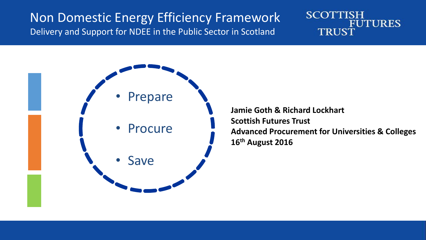### Non Domestic Energy Efficiency Framework Delivery and Support for NDEE in the Public Sector in Scotland





**Jamie Goth & Richard Lockhart Scottish Futures Trust Advanced Procurement for Universities & Colleges 16th August 2016**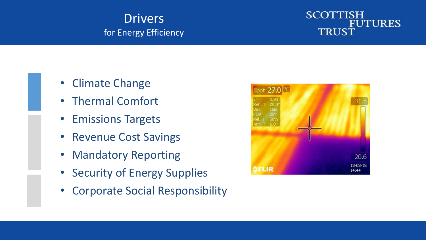### **Drivers** for Energy Efficiency

#### **SCOTTISH FUTURES TRUST**

- Climate Change
- Thermal Comfort
- Emissions Targets
- Revenue Cost Savings
- Mandatory Reporting
- Security of Energy Supplies
- Corporate Social Responsibility

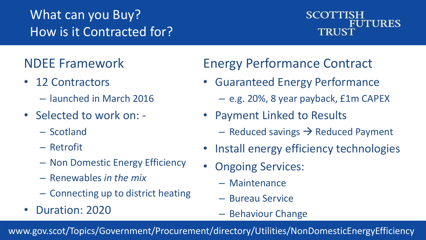# What can you Buy? How is it Contracted for?

#### **SCOTTISH FUTURES TRUST**

# NDEE Framework

- 12 Contractors
	- launched in March 2016
- Selected to work on:
	- Scotland
	- Retrofit
	- Non Domestic Energy Efficiency
	- Renewables *in the mix*
	- Connecting up to district heating
- Duration: 2020

# Energy Performance Contract

- Guaranteed Energy Performance
	- e.g. 20%, 8 year payback, £1m CAPEX
- Payment Linked to Results
	- $-$  Reduced savings  $\rightarrow$  Reduced Payment
- Install energy efficiency technologies
- **Ongoing Services:** 
	- Maintenance
	- Bureau Service
	- Behaviour Change

www.gov.scot/Topics/Government/Procurement/directory/Utilities/NonDomesticEnergyEfficiency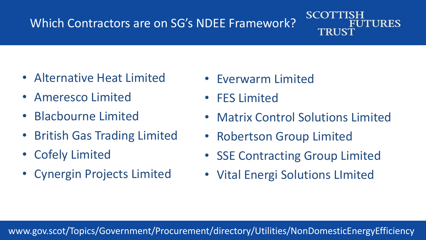## Which Contractors are on SG's NDEE Framework?

#### **SCOTT UTURES** TRUST

- Alternative Heat Limited
- Ameresco Limited
- Blacbourne Limited
- British Gas Trading Limited
- Cofely Limited
- Cynergin Projects Limited
- Everwarm Limited
- FES Limited
- Matrix Control Solutions Limited
- Robertson Group Limited
- SSE Contracting Group Limited
- Vital Energi Solutions LImited

#### www.gov.scot/Topics/Government/Procurement/directory/Utilities/NonDomesticEnergyEfficiency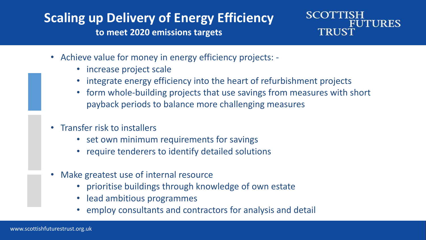# **Scaling up Delivery of Energy Efficiency**

**to meet 2020 emissions targets**



- Achieve value for money in energy efficiency projects:
	- increase project scale
	- integrate energy efficiency into the heart of refurbishment projects
	- form whole-building projects that use savings from measures with short payback periods to balance more challenging measures
- Transfer risk to installers
	- set own minimum requirements for savings
	- require tenderers to identify detailed solutions
- Make greatest use of internal resource
	- prioritise buildings through knowledge of own estate
	- lead ambitious programmes
	- employ consultants and contractors for analysis and detail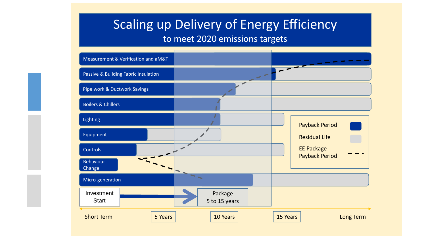### Scaling up Delivery of Energy Efficiency

#### to meet 2020 emissions targets

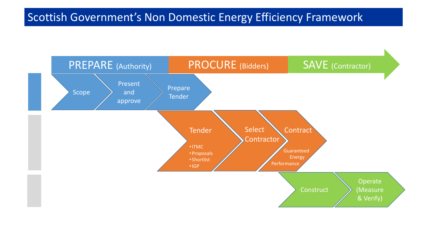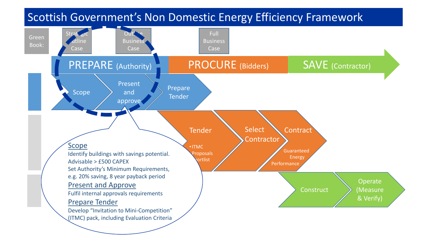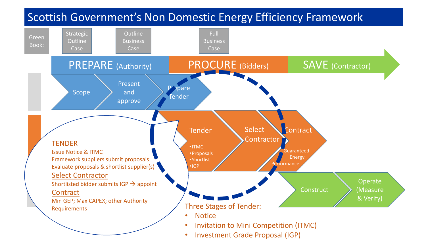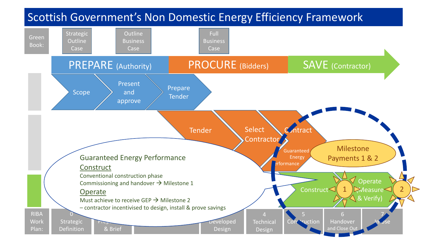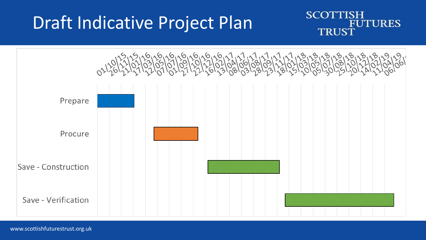# Draft Indicative Project Plan



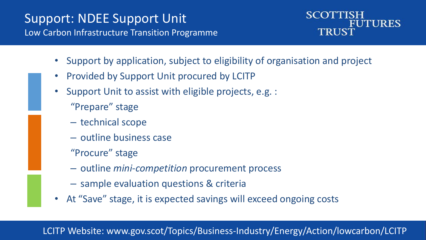### Support: NDEE Support Unit Low Carbon Infrastructure Transition Programme



- Support by application, subject to eligibility of organisation and project
- Provided by Support Unit procured by LCITP
- Support Unit to assist with eligible projects, e.g. :
	- "Prepare" stage
	- technical scope
	- outline business case
	- "Procure" stage
	- outline *mini-competition* procurement process
	- sample evaluation questions & criteria
- At "Save" stage, it is expected savings will exceed ongoing costs

#### LCITP Website: www.gov.scot/Topics/Business-Industry/Energy/Action/lowcarbon/LCITP